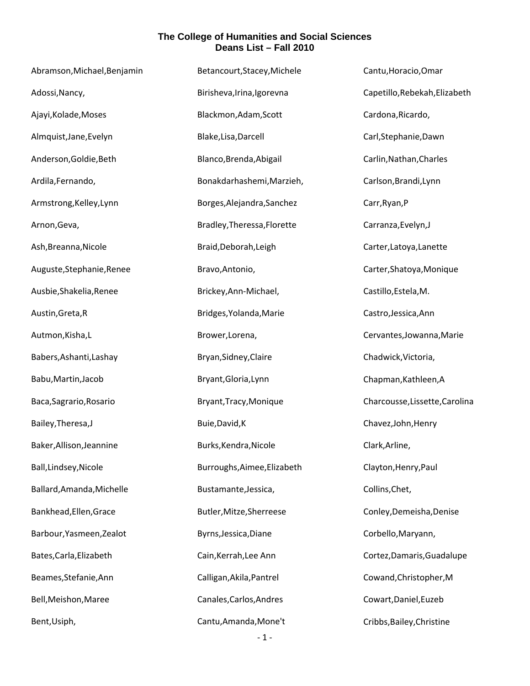| Abramson, Michael, Benjamin | Betancourt, Stacey, Michele | Cantu, Horacio, Omar           |
|-----------------------------|-----------------------------|--------------------------------|
| Adossi, Nancy,              | Birisheva, Irina, Igorevna  | Capetillo, Rebekah, Elizabeth  |
| Ajayi, Kolade, Moses        | Blackmon, Adam, Scott       | Cardona, Ricardo,              |
| Almquist, Jane, Evelyn      | Blake, Lisa, Darcell        | Carl, Stephanie, Dawn          |
| Anderson, Goldie, Beth      | Blanco, Brenda, Abigail     | Carlin, Nathan, Charles        |
| Ardila, Fernando,           | Bonakdarhashemi, Marzieh,   | Carlson, Brandi, Lynn          |
| Armstrong, Kelley, Lynn     | Borges, Alejandra, Sanchez  | Carr, Ryan, P                  |
| Arnon, Geva,                | Bradley, Theressa, Florette | Carranza, Evelyn, J            |
| Ash, Breanna, Nicole        | Braid, Deborah, Leigh       | Carter, Latoya, Lanette        |
| Auguste, Stephanie, Renee   | Bravo, Antonio,             | Carter, Shatoya, Monique       |
| Ausbie, Shakelia, Renee     | Brickey, Ann-Michael,       | Castillo, Estela, M.           |
| Austin, Greta, R            | Bridges, Yolanda, Marie     | Castro, Jessica, Ann           |
| Autmon, Kisha, L            | Brower, Lorena,             | Cervantes, Jowanna, Marie      |
| Babers, Ashanti, Lashay     | Bryan, Sidney, Claire       | Chadwick, Victoria,            |
| Babu, Martin, Jacob         | Bryant, Gloria, Lynn        | Chapman, Kathleen, A           |
| Baca, Sagrario, Rosario     | Bryant, Tracy, Monique      | Charcousse, Lissette, Carolina |
| Bailey, Theresa, J          | Buie, David, K              | Chavez, John, Henry            |
| Baker, Allison, Jeannine    | Burks, Kendra, Nicole       | Clark, Arline,                 |
| Ball, Lindsey, Nicole       | Burroughs, Aimee, Elizabeth | Clayton, Henry, Paul           |
| Ballard, Amanda, Michelle   | Bustamante, Jessica,        | Collins, Chet,                 |
| Bankhead, Ellen, Grace      | Butler, Mitze, Sherreese    | Conley, Demeisha, Denise       |
| Barbour, Yasmeen, Zealot    | Byrns, Jessica, Diane       | Corbello, Maryann,             |
| Bates, Carla, Elizabeth     | Cain, Kerrah, Lee Ann       | Cortez, Damaris, Guadalupe     |
| Beames, Stefanie, Ann       | Calligan, Akila, Pantrel    | Cowand, Christopher, M         |
| Bell, Meishon, Maree        | Canales, Carlos, Andres     | Cowart, Daniel, Euzeb          |
| Bent, Usiph,                | Cantu, Amanda, Mone't       | Cribbs, Bailey, Christine      |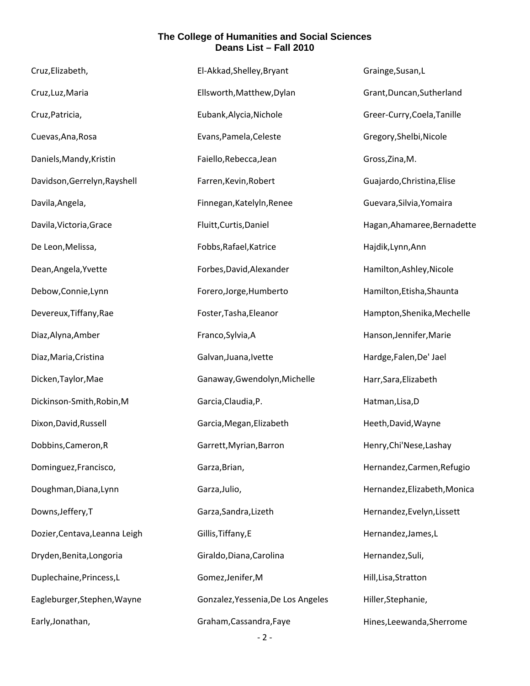| Cruz, Elizabeth,              | El-Akkad, Shelley, Bryant          | Grainge, Susan, L            |
|-------------------------------|------------------------------------|------------------------------|
| Cruz, Luz, Maria              | Ellsworth, Matthew, Dylan          | Grant, Duncan, Sutherland    |
| Cruz, Patricia,               | Eubank, Alycia, Nichole            | Greer-Curry, Coela, Tanille  |
| Cuevas, Ana, Rosa             | Evans, Pamela, Celeste             | Gregory, Shelbi, Nicole      |
| Daniels, Mandy, Kristin       | Faiello, Rebecca, Jean             | Gross, Zina, M.              |
| Davidson, Gerrelyn, Rayshell  | Farren, Kevin, Robert              | Guajardo, Christina, Elise   |
| Davila, Angela,               | Finnegan, Katelyln, Renee          | Guevara, Silvia, Yomaira     |
| Davila, Victoria, Grace       | Fluitt, Curtis, Daniel             | Hagan, Ahamaree, Bernadette  |
| De Leon, Melissa,             | Fobbs, Rafael, Katrice             | Hajdik, Lynn, Ann            |
| Dean, Angela, Yvette          | Forbes, David, Alexander           | Hamilton, Ashley, Nicole     |
| Debow, Connie, Lynn           | Forero, Jorge, Humberto            | Hamilton, Etisha, Shaunta    |
| Devereux, Tiffany, Rae        | Foster, Tasha, Eleanor             | Hampton, Shenika, Mechelle   |
| Diaz, Alyna, Amber            | Franco, Sylvia, A                  | Hanson, Jennifer, Marie      |
| Diaz, Maria, Cristina         | Galvan, Juana, Ivette              | Hardge, Falen, De' Jael      |
| Dicken, Taylor, Mae           | Ganaway, Gwendolyn, Michelle       | Harr, Sara, Elizabeth        |
| Dickinson-Smith, Robin, M     | Garcia, Claudia, P.                | Hatman, Lisa, D              |
| Dixon, David, Russell         | Garcia, Megan, Elizabeth           | Heeth, David, Wayne          |
| Dobbins, Cameron, R           | Garrett, Myrian, Barron            | Henry, Chi'Nese, Lashay      |
| Dominguez, Francisco,         | Garza, Brian,                      | Hernandez, Carmen, Refugio   |
| Doughman, Diana, Lynn         | Garza, Julio,                      | Hernandez, Elizabeth, Monica |
| Downs, Jeffery, T             | Garza, Sandra, Lizeth              | Hernandez, Evelyn, Lissett   |
| Dozier, Centava, Leanna Leigh | Gillis, Tiffany, E                 | Hernandez, James, L          |
| Dryden, Benita, Longoria      | Giraldo, Diana, Carolina           | Hernandez, Suli,             |
| Duplechaine, Princess, L      | Gomez, Jenifer, M                  | Hill, Lisa, Stratton         |
| Eagleburger, Stephen, Wayne   | Gonzalez, Yessenia, De Los Angeles | Hiller, Stephanie,           |
| Early, Jonathan,              | Graham, Cassandra, Faye            | Hines, Leewanda, Sherrome    |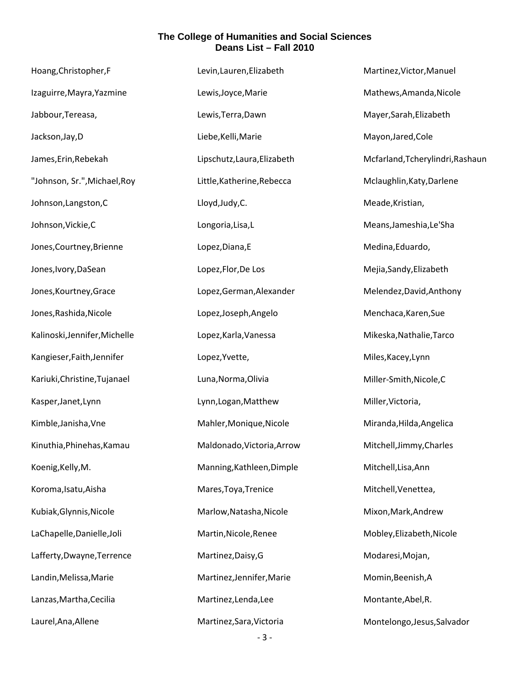| Hoang, Christopher, F         | Levin, Lauren, Elizabeth    | Martinez, Victor, Manuel         |
|-------------------------------|-----------------------------|----------------------------------|
| Izaguirre, Mayra, Yazmine     | Lewis, Joyce, Marie         | Mathews, Amanda, Nicole          |
| Jabbour, Tereasa,             | Lewis, Terra, Dawn          | Mayer, Sarah, Elizabeth          |
| Jackson, Jay, D               | Liebe, Kelli, Marie         | Mayon, Jared, Cole               |
| James, Erin, Rebekah          | Lipschutz, Laura, Elizabeth | Mcfarland, Tcherylindri, Rashaun |
| "Johnson, Sr.", Michael, Roy  | Little, Katherine, Rebecca  | Mclaughlin, Katy, Darlene        |
| Johnson, Langston, C          | Lloyd, Judy, C.             | Meade, Kristian,                 |
| Johnson, Vickie, C            | Longoria, Lisa, L           | Means, Jameshia, Le'Sha          |
| Jones, Courtney, Brienne      | Lopez, Diana, E             | Medina, Eduardo,                 |
| Jones, Ivory, DaSean          | Lopez, Flor, De Los         | Mejia, Sandy, Elizabeth          |
| Jones, Kourtney, Grace        | Lopez, German, Alexander    | Melendez, David, Anthony         |
| Jones, Rashida, Nicole        | Lopez, Joseph, Angelo       | Menchaca, Karen, Sue             |
| Kalinoski, Jennifer, Michelle | Lopez, Karla, Vanessa       | Mikeska, Nathalie, Tarco         |
| Kangieser, Faith, Jennifer    | Lopez, Yvette,              | Miles, Kacey, Lynn               |
| Kariuki, Christine, Tujanael  | Luna, Norma, Olivia         | Miller-Smith, Nicole, C          |
| Kasper, Janet, Lynn           | Lynn, Logan, Matthew        | Miller, Victoria,                |
| Kimble, Janisha, Vne          | Mahler, Monique, Nicole     | Miranda, Hilda, Angelica         |
| Kinuthia, Phinehas, Kamau     | Maldonado, Victoria, Arrow  | Mitchell, Jimmy, Charles         |
| Koenig, Kelly, M.             | Manning, Kathleen, Dimple   | Mitchell, Lisa, Ann              |
| Koroma, Isatu, Aisha          | Mares, Toya, Trenice        | Mitchell, Venettea,              |
| Kubiak, Glynnis, Nicole       | Marlow, Natasha, Nicole     | Mixon, Mark, Andrew              |
| LaChapelle, Danielle, Joli    | Martin, Nicole, Renee       | Mobley, Elizabeth, Nicole        |
| Lafferty, Dwayne, Terrence    | Martinez, Daisy, G          | Modaresi, Mojan,                 |
| Landin, Melissa, Marie        | Martinez, Jennifer, Marie   | Momin, Beenish, A                |
| Lanzas, Martha, Cecilia       | Martinez, Lenda, Lee        | Montante, Abel, R.               |
| Laurel, Ana, Allene           | Martinez, Sara, Victoria    | Montelongo, Jesus, Salvador      |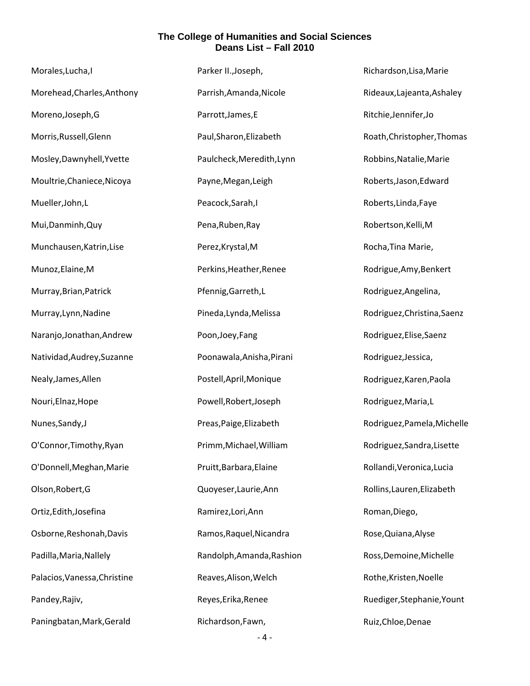| Morales, Lucha, I            | Parker II., Joseph,       | Richardson, Lisa, Marie     |
|------------------------------|---------------------------|-----------------------------|
| Morehead, Charles, Anthony   | Parrish, Amanda, Nicole   | Rideaux, Lajeanta, Ashaley  |
| Moreno, Joseph, G            | Parrott, James, E         | Ritchie, Jennifer, Jo       |
| Morris, Russell, Glenn       | Paul, Sharon, Elizabeth   | Roath, Christopher, Thomas  |
| Mosley, Dawnyhell, Yvette    | Paulcheck, Meredith, Lynn | Robbins, Natalie, Marie     |
| Moultrie, Chaniece, Nicoya   | Payne, Megan, Leigh       | Roberts, Jason, Edward      |
| Mueller, John, L             | Peacock, Sarah, I         | Roberts, Linda, Faye        |
| Mui, Danminh, Quy            | Pena, Ruben, Ray          | Robertson, Kelli, M         |
| Munchausen, Katrin, Lise     | Perez, Krystal, M         | Rocha, Tina Marie,          |
| Munoz, Elaine, M             | Perkins, Heather, Renee   | Rodrigue, Amy, Benkert      |
| Murray, Brian, Patrick       | Pfennig, Garreth, L       | Rodriguez, Angelina,        |
| Murray, Lynn, Nadine         | Pineda, Lynda, Melissa    | Rodriguez, Christina, Saenz |
| Naranjo, Jonathan, Andrew    | Poon, Joey, Fang          | Rodriguez, Elise, Saenz     |
| Natividad, Audrey, Suzanne   | Poonawala, Anisha, Pirani | Rodriguez, Jessica,         |
| Nealy, James, Allen          | Postell, April, Monique   | Rodriguez, Karen, Paola     |
| Nouri, Elnaz, Hope           | Powell, Robert, Joseph    | Rodriguez, Maria, L         |
| Nunes, Sandy, J              | Preas, Paige, Elizabeth   | Rodriguez, Pamela, Michelle |
| O'Connor, Timothy, Ryan      | Primm, Michael, William   | Rodriguez, Sandra, Lisette  |
| O'Donnell, Meghan, Marie     | Pruitt, Barbara, Elaine   | Rollandi, Veronica, Lucia   |
| Olson, Robert, G             | Quoyeser, Laurie, Ann     | Rollins, Lauren, Elizabeth  |
| Ortiz, Edith, Josefina       | Ramirez, Lori, Ann        | Roman, Diego,               |
| Osborne, Reshonah, Davis     | Ramos, Raquel, Nicandra   | Rose, Quiana, Alyse         |
| Padilla, Maria, Nallely      | Randolph, Amanda, Rashion | Ross, Demoine, Michelle     |
| Palacios, Vanessa, Christine | Reaves, Alison, Welch     | Rothe, Kristen, Noelle      |
| Pandey, Rajiv,               | Reyes, Erika, Renee       | Ruediger, Stephanie, Yount  |
| Paningbatan, Mark, Gerald    | Richardson, Fawn,         | Ruiz, Chloe, Denae          |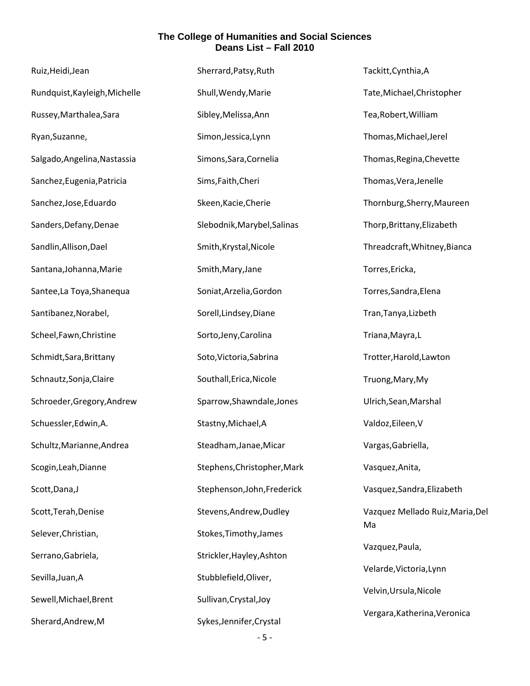| Ruiz, Heidi, Jean             | Sherrard, Patsy, Ruth       | Tackitt, Cynthia, A              |
|-------------------------------|-----------------------------|----------------------------------|
| Rundquist, Kayleigh, Michelle | Shull, Wendy, Marie         | Tate, Michael, Christopher       |
| Russey, Marthalea, Sara       | Sibley, Melissa, Ann        | Tea, Robert, William             |
| Ryan, Suzanne,                | Simon, Jessica, Lynn        | Thomas, Michael, Jerel           |
| Salgado, Angelina, Nastassia  | Simons, Sara, Cornelia      | Thomas, Regina, Chevette         |
| Sanchez, Eugenia, Patricia    | Sims, Faith, Cheri          | Thomas, Vera, Jenelle            |
| Sanchez, Jose, Eduardo        | Skeen, Kacie, Cherie        | Thornburg, Sherry, Maureen       |
| Sanders, Defany, Denae        | Slebodnik, Marybel, Salinas | Thorp, Brittany, Elizabeth       |
| Sandlin, Allison, Dael        | Smith, Krystal, Nicole      | Threadcraft, Whitney, Bianca     |
| Santana, Johanna, Marie       | Smith, Mary, Jane           | Torres, Ericka,                  |
| Santee, La Toya, Shanequa     | Soniat, Arzelia, Gordon     | Torres, Sandra, Elena            |
| Santibanez, Norabel,          | Sorell, Lindsey, Diane      | Tran, Tanya, Lizbeth             |
| Scheel, Fawn, Christine       | Sorto, Jeny, Carolina       | Triana, Mayra, L                 |
| Schmidt, Sara, Brittany       | Soto, Victoria, Sabrina     | Trotter, Harold, Lawton          |
| Schnautz, Sonja, Claire       | Southall, Erica, Nicole     | Truong, Mary, My                 |
| Schroeder, Gregory, Andrew    | Sparrow, Shawndale, Jones   | Ulrich, Sean, Marshal            |
| Schuessler, Edwin, A.         | Stastny, Michael, A         | Valdoz, Eileen, V                |
| Schultz, Marianne, Andrea     | Steadham, Janae, Micar      | Vargas, Gabriella,               |
| Scogin, Leah, Dianne          | Stephens, Christopher, Mark | Vasquez, Anita,                  |
| Scott, Dana, J                | Stephenson, John, Frederick | Vasquez, Sandra, Elizabeth       |
| Scott, Terah, Denise          | Stevens, Andrew, Dudley     | Vazquez Mellado Ruiz, Maria, Del |
| Selever, Christian,           | Stokes, Timothy, James      | Ma                               |
| Serrano, Gabriela,            | Strickler, Hayley, Ashton   | Vazquez, Paula,                  |
| Sevilla, Juan, A              | Stubblefield, Oliver,       | Velarde, Victoria, Lynn          |
| Sewell, Michael, Brent        | Sullivan, Crystal, Joy      | Velvin, Ursula, Nicole           |
| Sherard, Andrew, M            | Sykes, Jennifer, Crystal    | Vergara, Katherina, Veronica     |